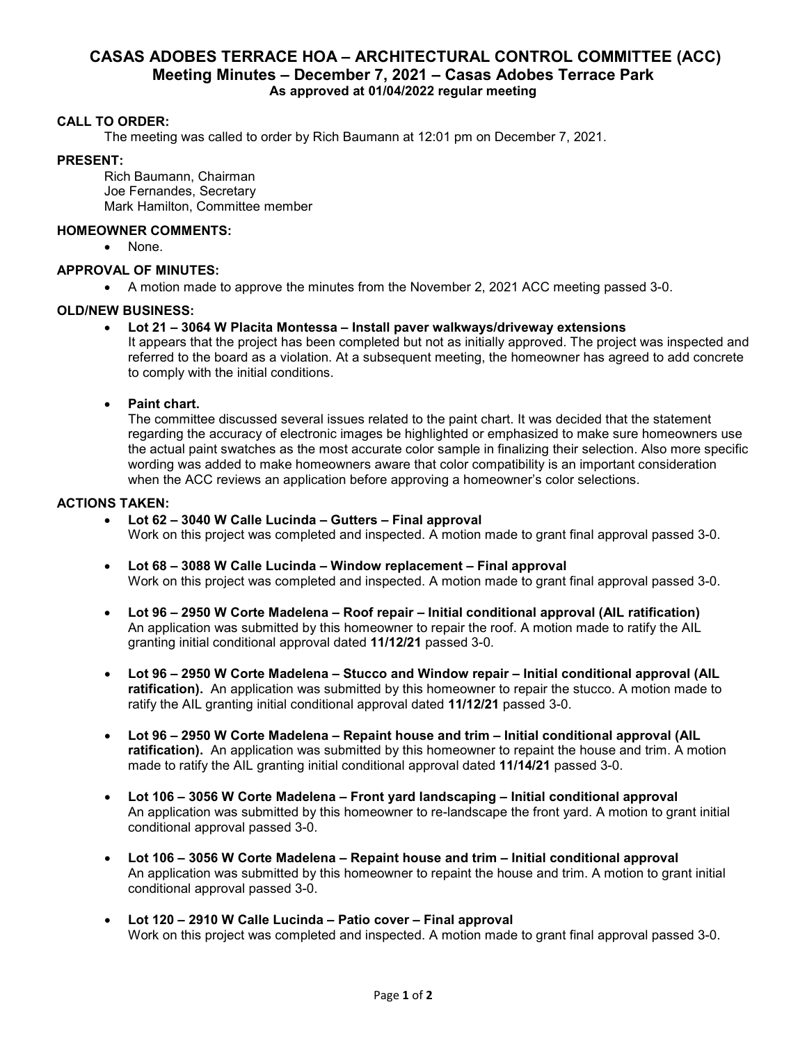## **CASAS ADOBES TERRACE HOA – ARCHITECTURAL CONTROL COMMITTEE (ACC) Meeting Minutes – December 7, 2021 – Casas Adobes Terrace Park As approved at 01/04/2022 regular meeting**

## **CALL TO ORDER:**

The meeting was called to order by Rich Baumann at 12:01 pm on December 7, 2021.

## **PRESENT:**

Rich Baumann, Chairman Joe Fernandes, Secretary Mark Hamilton, Committee member

#### **HOMEOWNER COMMENTS:**

• None.

## **APPROVAL OF MINUTES:**

A motion made to approve the minutes from the November 2, 2021 ACC meeting passed 3-0.

## **OLD/NEW BUSINESS:**

#### **Lot 21 – 3064 W Placita Montessa – Install paver walkways/driveway extensions**

It appears that the project has been completed but not as initially approved. The project was inspected and referred to the board as a violation. At a subsequent meeting, the homeowner has agreed to add concrete to comply with the initial conditions.

**Paint chart.** 

The committee discussed several issues related to the paint chart. It was decided that the statement regarding the accuracy of electronic images be highlighted or emphasized to make sure homeowners use the actual paint swatches as the most accurate color sample in finalizing their selection. Also more specific wording was added to make homeowners aware that color compatibility is an important consideration when the ACC reviews an application before approving a homeowner's color selections.

#### **ACTIONS TAKEN:**

- **Lot 62 3040 W Calle Lucinda Gutters Final approval**  Work on this project was completed and inspected. A motion made to grant final approval passed 3-0.
- **Lot 68 3088 W Calle Lucinda Window replacement Final approval**  Work on this project was completed and inspected. A motion made to grant final approval passed 3-0.
- **Lot 96 2950 W Corte Madelena Roof repair Initial conditional approval (AIL ratification)**  An application was submitted by this homeowner to repair the roof. A motion made to ratify the AIL granting initial conditional approval dated **11/12/21** passed 3-0.
- **Lot 96 2950 W Corte Madelena Stucco and Window repair Initial conditional approval (AIL ratification).** An application was submitted by this homeowner to repair the stucco. A motion made to ratify the AIL granting initial conditional approval dated **11/12/21** passed 3-0.
- **Lot 96 2950 W Corte Madelena Repaint house and trim Initial conditional approval (AIL ratification).** An application was submitted by this homeowner to repaint the house and trim. A motion made to ratify the AIL granting initial conditional approval dated **11/14/21** passed 3-0.
- **Lot 106 3056 W Corte Madelena Front yard landscaping Initial conditional approval**  An application was submitted by this homeowner to re-landscape the front yard. A motion to grant initial conditional approval passed 3-0.
- **Lot 106 3056 W Corte Madelena Repaint house and trim Initial conditional approval**  An application was submitted by this homeowner to repaint the house and trim. A motion to grant initial conditional approval passed 3-0.
- **Lot 120 2910 W Calle Lucinda Patio cover Final approval**  Work on this project was completed and inspected. A motion made to grant final approval passed 3-0.